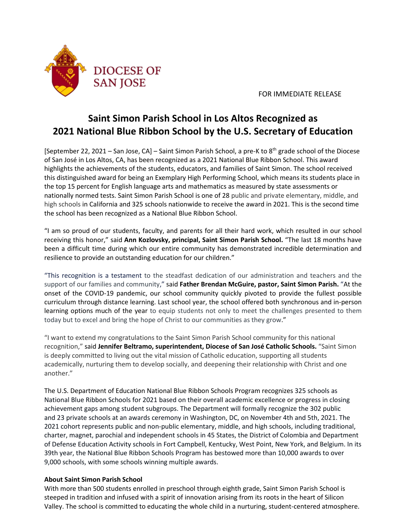

FOR IMMEDIATE RELEASE

## **Saint Simon Parish School in Los Altos Recognized as 2021 National Blue Ribbon School by the U.S. Secretary of Education**

[September 22, 2021 – San Jose, CA] – Saint Simon Parish School, a pre-K to 8<sup>th</sup> grade school of the Diocese of San José in Los Altos, CA, has been recognized as a 2021 National Blue Ribbon School. This award highlights the achievements of the students, educators, and families of Saint Simon. The school received this distinguished award for being an Exemplary High Performing School, which means its students place in the top 15 percent for English language arts and mathematics as measured by state assessments or nationally normed tests. Saint Simon Parish School is one of 28 public and private elementary, middle, and high schools in California and 325 schools nationwide to receive the award in 2021. This is the second time the school has been recognized as a National Blue Ribbon School.

"I am so proud of our students, faculty, and parents for all their hard work, which resulted in our school receiving this honor," said **Ann Kozlovsky, principal, Saint Simon Parish School.** "The last 18 months have been a difficult time during which our entire community has demonstrated incredible determination and resilience to provide an outstanding education for our children."

"This recognition is a testament to the steadfast dedication of our administration and teachers and the support of our families and community," said **Father Brendan McGuire, pastor, Saint Simon Parish.** "At the onset of the COVID-19 pandemic, our school community quickly pivoted to provide the fullest possible curriculum through distance learning. Last school year, the school offered both synchronous and in-person learning options much of the year to equip students not only to meet the challenges presented to them today but to excel and bring the hope of Christ to our communities as they grow."

"I want to extend my congratulations to the Saint Simon Parish School community for this national recognition," said **Jennifer Beltramo, superintendent, Diocese of San José Catholic Schools.** "Saint Simon is deeply committed to living out the vital mission of Catholic education, supporting all students academically, nurturing them to develop socially, and deepening their relationship with Christ and one another."

The U.S. Department of Education National Blue Ribbon Schools Program recognizes 325 schools as National Blue Ribbon Schools for 2021 based on their overall academic excellence or progress in closing achievement gaps among student subgroups. The Department will formally recognize the 302 public and 23 private schools at an awards ceremony in Washington, DC, on November 4th and 5th, 2021. The 2021 cohort represents public and non-public elementary, middle, and high schools, including traditional, charter, magnet, parochial and independent schools in 45 States, the District of Colombia and Department of Defense Education Activity schools in Fort Campbell, Kentucky, West Point, New York, and Belgium. In its 39th year, the National Blue Ribbon Schools Program has bestowed more than 10,000 awards to over 9,000 schools, with some schools winning multiple awards.

## **About Saint Simon Parish School**

With more than 500 students enrolled in preschool through eighth grade, Saint Simon Parish School is steeped in tradition and infused with a spirit of innovation arising from its roots in the heart of Silicon Valley. The school is committed to educating the whole child in a nurturing, student-centered atmosphere.